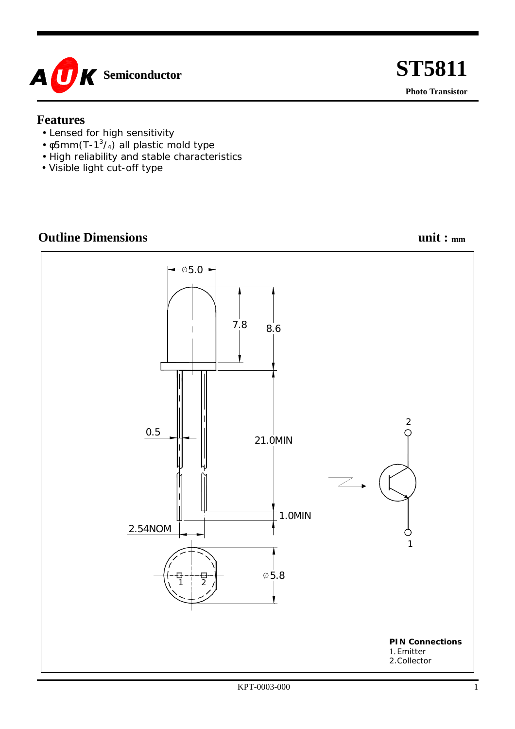

#### **Features**

- Lensed for high sensitivity
- $\phi$ 5mm(T-1<sup>3</sup>/<sub>4</sub>) all plastic mold type
- High reliability and stable characteristics
- Visible light cut-off type

## **Outline Dimensions** unit :  $_{mm}$

 **ST5811** 

**Photo Transistor** 

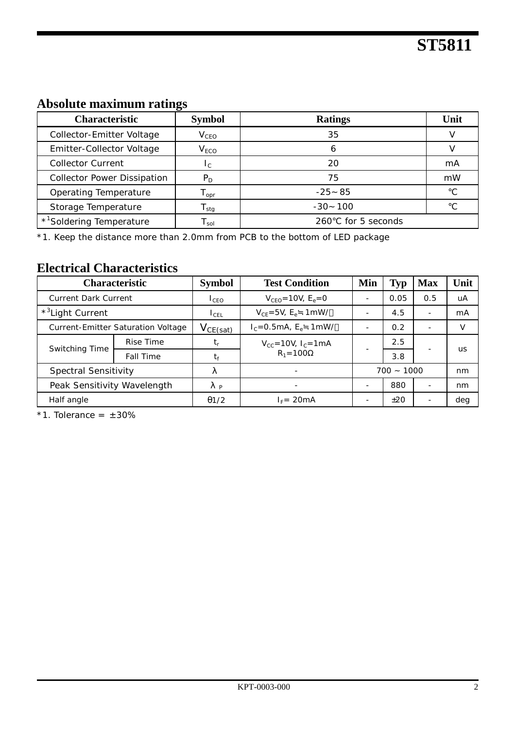## **Absolute maximum ratings**

| <b>Characteristic</b>                | <b>Symbol</b>               | <b>Ratings</b>       | Unit |  |
|--------------------------------------|-----------------------------|----------------------|------|--|
| Collector-Emitter Voltage            | V <sub>CEO</sub>            | 35                   |      |  |
| Emitter-Collector Voltage            | V <sub>ECO</sub>            | n                    |      |  |
| <b>Collector Current</b>             | $1_{\text{C}}$              | 20                   | mA   |  |
| <b>Collector Power Dissipation</b>   | $P_D$                       | 75                   | mW   |  |
| Operating Temperature                | $\mathsf{T}_{\mathsf{opr}}$ | $-25$ 85             |      |  |
| Storage Temperature                  | $T_{\text{stg}}$            | -100<br>-30          |      |  |
| * <sup>1</sup> Soldering Temperature | l sol                       | for 5 seconds<br>260 |      |  |

\*1. Keep the distance more than 2.0mm from PCB to the bottom of LED package

### **Electrical Characteristics**

|                              | <b>Characteristic</b>              | <b>Symbol</b>    | <b>Test Condition</b>                    | Min          | <b>Typ</b> | <b>Max</b>               | Unit |
|------------------------------|------------------------------------|------------------|------------------------------------------|--------------|------------|--------------------------|------|
| <b>Current Dark Current</b>  |                                    | 1 <sub>CFO</sub> | $V_{CFO} = 10V$ , $E_e = 0$              |              | 0.05       | 0.5                      | uA   |
| * <sup>3</sup> Light Current |                                    | ICEL             | $V_{CF} = 5V$ , $E_e$ 1 mW/              |              | 4.5        | -                        | mA   |
|                              | Current-Emitter Saturation Voltage | $V_{CE(sat)}$    | $I_c = 0.5mA$ , $E_e$ 1mW/               |              | 0.2        | $\overline{\phantom{0}}$ |      |
| Switching Time               | Rise Time                          | t,               | $V_{CC} = 10V, I_C = 1mA$<br>$R_1 = 100$ |              | 2.5        |                          | us   |
|                              | Fall Time                          | tғ               |                                          |              | 3.8        |                          |      |
| Spectral Sensitivity         |                                    |                  |                                          | $700 - 1000$ |            | nm                       |      |
| Peak Sensitivity Wavelength  |                                    | P                |                                          |              | 880        | ۰                        | nm   |
| Half angle                   |                                    | $\theta$ 1/2     | $I_F = 20mA$                             |              | ±20        | ۰                        | deg  |

 $*1$ . Tolerance =  $\pm 30\%$